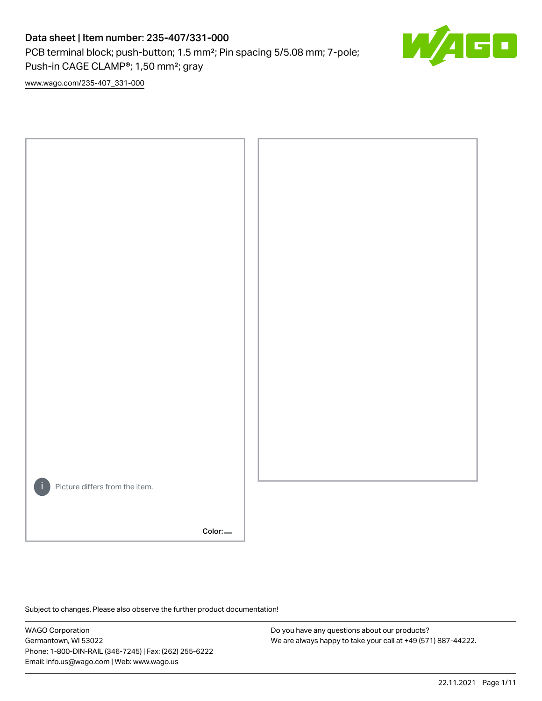## Data sheet | Item number: 235-407/331-000

PCB terminal block; push-button; 1.5 mm²; Pin spacing 5/5.08 mm; 7-pole; Push-in CAGE CLAMP®; 1,50 mm²; gray



[www.wago.com/235-407\\_331-000](http://www.wago.com/235-407_331-000)



Subject to changes. Please also observe the further product documentation!

WAGO Corporation Germantown, WI 53022 Phone: 1-800-DIN-RAIL (346-7245) | Fax: (262) 255-6222 Email: info.us@wago.com | Web: www.wago.us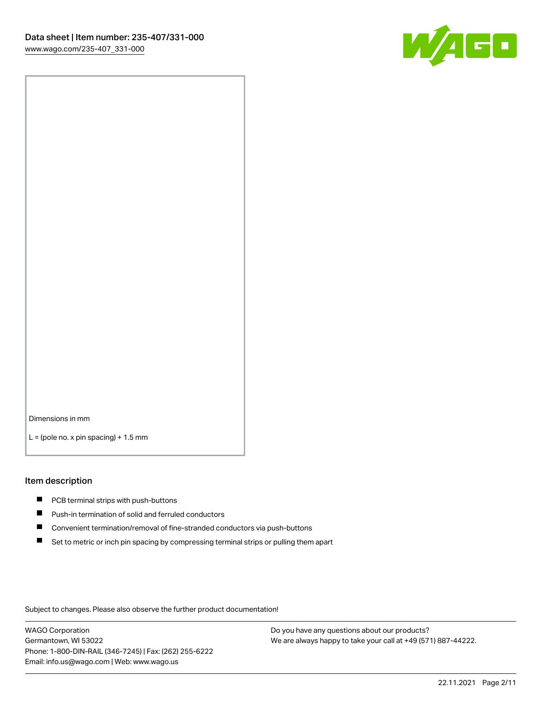

Dimensions in mm

 $L =$  (pole no. x pin spacing) + 1.5 mm

#### Item description

- **PCB terminal strips with push-buttons**
- **Push-in termination of solid and ferruled conductors**
- $\blacksquare$ Convenient termination/removal of fine-stranded conductors via push-buttons
- Set to metric or inch pin spacing by compressing terminal strips or pulling them apart

Subject to changes. Please also observe the further product documentation!

WAGO Corporation Germantown, WI 53022 Phone: 1-800-DIN-RAIL (346-7245) | Fax: (262) 255-6222 Email: info.us@wago.com | Web: www.wago.us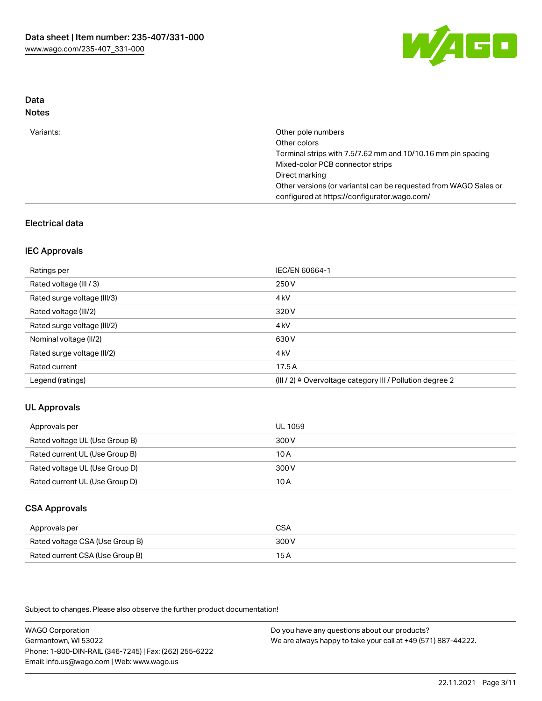

# Data

| Variants: | Other pole numbers<br>Other colors                               |
|-----------|------------------------------------------------------------------|
|           | Terminal strips with 7.5/7.62 mm and 10/10.16 mm pin spacing     |
|           | Mixed-color PCB connector strips                                 |
|           | Direct marking                                                   |
|           | Other versions (or variants) can be requested from WAGO Sales or |
|           | configured at https://configurator.wago.com/                     |

## Electrical data

### IEC Approvals

| Ratings per                 | IEC/EN 60664-1                                                        |
|-----------------------------|-----------------------------------------------------------------------|
| Rated voltage (III / 3)     | 250 V                                                                 |
| Rated surge voltage (III/3) | 4 <sub>k</sub> V                                                      |
| Rated voltage (III/2)       | 320 V                                                                 |
| Rated surge voltage (III/2) | 4 <sub>k</sub> V                                                      |
| Nominal voltage (II/2)      | 630 V                                                                 |
| Rated surge voltage (II/2)  | 4 <sub>kV</sub>                                                       |
| Rated current               | 17.5A                                                                 |
| Legend (ratings)            | $(III / 2)$ $\triangle$ Overvoltage category III / Pollution degree 2 |

## UL Approvals

| Approvals per                  | UL 1059 |
|--------------------------------|---------|
| Rated voltage UL (Use Group B) | 300 V   |
| Rated current UL (Use Group B) | 10 A    |
| Rated voltage UL (Use Group D) | 300 V   |
| Rated current UL (Use Group D) | 10 A    |

## CSA Approvals

| Approvals per                   | CSA   |
|---------------------------------|-------|
| Rated voltage CSA (Use Group B) | 300 V |
| Rated current CSA (Use Group B) | 15 A  |

Subject to changes. Please also observe the further product documentation!

WAGO Corporation Germantown, WI 53022 Phone: 1-800-DIN-RAIL (346-7245) | Fax: (262) 255-6222 Email: info.us@wago.com | Web: www.wago.us Do you have any questions about our products? We are always happy to take your call at +49 (571) 887-44222.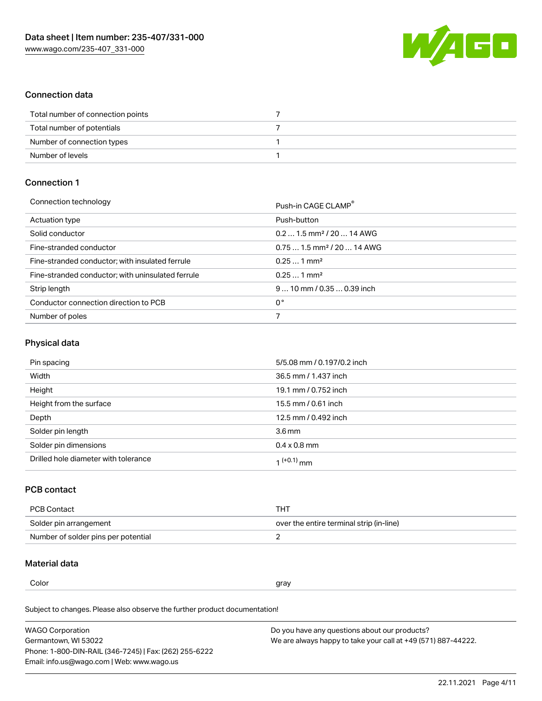

### Connection data

| Total number of connection points |  |
|-----------------------------------|--|
| Total number of potentials        |  |
| Number of connection types        |  |
| Number of levels                  |  |

## Connection 1

| Connection technology                             | Push-in CAGE CLAMP®                    |
|---------------------------------------------------|----------------------------------------|
| Actuation type                                    | Push-button                            |
| Solid conductor                                   | $0.21.5$ mm <sup>2</sup> / 20  14 AWG  |
| Fine-stranded conductor                           | $0.751.5$ mm <sup>2</sup> / 20  14 AWG |
| Fine-stranded conductor; with insulated ferrule   | $0.251$ mm <sup>2</sup>                |
| Fine-stranded conductor; with uninsulated ferrule | $0.251$ mm <sup>2</sup>                |
| Strip length                                      | $910$ mm / 0.35  0.39 inch             |
| Conductor connection direction to PCB             | 0°                                     |
| Number of poles                                   |                                        |
|                                                   |                                        |

## Physical data

| Pin spacing                          | 5/5.08 mm / 0.197/0.2 inch |
|--------------------------------------|----------------------------|
| Width                                | 36.5 mm / 1.437 inch       |
| Height                               | 19.1 mm / 0.752 inch       |
| Height from the surface              | 15.5 mm / 0.61 inch        |
| Depth                                | 12.5 mm / 0.492 inch       |
| Solder pin length                    | 3.6 <sub>mm</sub>          |
| Solder pin dimensions                | $0.4 \times 0.8$ mm        |
| Drilled hole diameter with tolerance | 1 <sup>(+0.1)</sup> mm     |

## PCB contact

| PCB Contact                         | THT                                      |
|-------------------------------------|------------------------------------------|
| Solder pin arrangement              | over the entire terminal strip (in-line) |
| Number of solder pins per potential |                                          |

### Material data

Color and the color of the color of the color of the color of the color of the color of the color of the color

Subject to changes. Please also observe the further product documentation! Material group I

| <b>WAGO Corporation</b>                                | Do you have any questions about our products?                 |
|--------------------------------------------------------|---------------------------------------------------------------|
| Germantown, WI 53022                                   | We are always happy to take your call at +49 (571) 887-44222. |
| Phone: 1-800-DIN-RAIL (346-7245)   Fax: (262) 255-6222 |                                                               |
| Email: info.us@wago.com   Web: www.wago.us             |                                                               |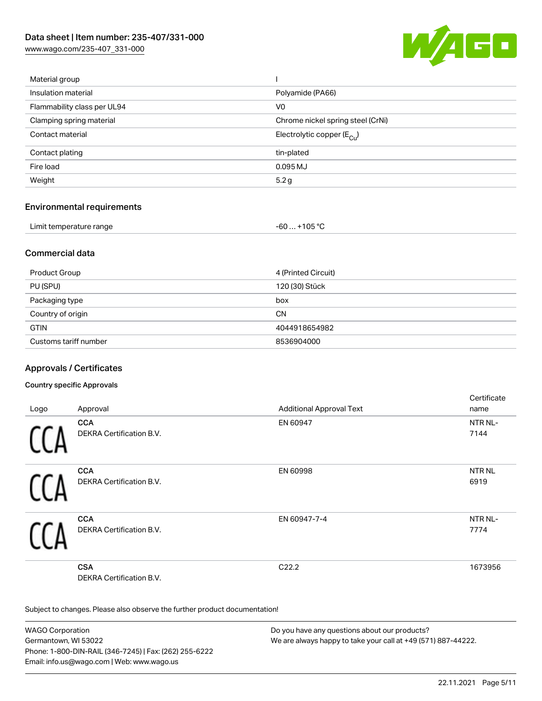[www.wago.com/235-407\\_331-000](http://www.wago.com/235-407_331-000)



| Material group              |                                       |
|-----------------------------|---------------------------------------|
| Insulation material         | Polyamide (PA66)                      |
| Flammability class per UL94 | V0                                    |
| Clamping spring material    | Chrome nickel spring steel (CrNi)     |
| Contact material            | Electrolytic copper $(E_{\text{Cl}})$ |
| Contact plating             | tin-plated                            |
| Fire load                   | 0.095 MJ                              |
| Weight                      | 5.2g                                  |
|                             |                                       |

### Environmental requirements

| Limit temperature range | $-60+105 °C$ |
|-------------------------|--------------|
|-------------------------|--------------|

## Commercial data

| Product Group         | 4 (Printed Circuit) |
|-----------------------|---------------------|
| PU (SPU)              | 120 (30) Stück      |
| Packaging type        | box                 |
| Country of origin     | <b>CN</b>           |
| <b>GTIN</b>           | 4044918654982       |
| Customs tariff number | 8536904000          |

## Approvals / Certificates

### Country specific Approvals

|      |                                 |                                 | Certificate       |
|------|---------------------------------|---------------------------------|-------------------|
| Logo | Approval                        | <b>Additional Approval Text</b> | name              |
|      | <b>CCA</b>                      | EN 60947                        | NTR NL-           |
|      | <b>DEKRA Certification B.V.</b> |                                 | 7144              |
|      | <b>CCA</b>                      | EN 60998                        | NTR <sub>NL</sub> |
|      | DEKRA Certification B.V.        |                                 | 6919              |
|      | <b>CCA</b>                      | EN 60947-7-4                    | NTR NL-           |
|      | DEKRA Certification B.V.        |                                 | 7774              |
|      | <b>CSA</b>                      | C22.2                           | 1673956           |
|      | <b>DEKRA Certification B.V.</b> |                                 |                   |

Subject to changes. Please also observe the further product documentation!

WAGO Corporation Germantown, WI 53022 Phone: 1-800-DIN-RAIL (346-7245) | Fax: (262) 255-6222 Email: info.us@wago.com | Web: www.wago.us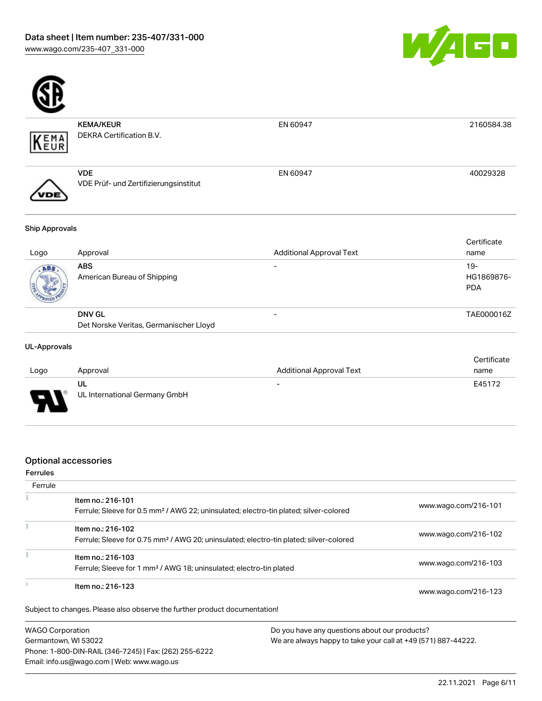

PDA



| KEMA           | <b>KEMA/KEUR</b><br><b>DEKRA Certification B.V.</b> | EN 60947                        | 2160584.38          |
|----------------|-----------------------------------------------------|---------------------------------|---------------------|
|                | <b>VDE</b><br>VDE Prüf- und Zertifizierungsinstitut | EN 60947                        | 40029328            |
| Ship Approvals |                                                     |                                 |                     |
| Logo           | Approval                                            | <b>Additional Approval Text</b> | Certificate<br>name |
| ABS.           | <b>ABS</b>                                          | $\overline{\phantom{0}}$        | $19-$               |
| <b>SERIES</b>  | American Bureau of Shipping                         |                                 | HG1869876-          |

| <b>ROYED YE</b> |                                        |            |
|-----------------|----------------------------------------|------------|
|                 | <b>DNV GL</b>                          | TAE000016Z |
|                 | Det Norske Veritas, Germanischer Lloyd |            |

### UL-Approvals

|      |                               |                                 | Certificate |
|------|-------------------------------|---------------------------------|-------------|
| Logo | Approval                      | <b>Additional Approval Text</b> | name        |
|      | UL                            | $\overline{\phantom{0}}$        | E45172      |
| J    | UL International Germany GmbH |                                 |             |

### Optional accessories

### Ferrules

| Ferrule                 |                                                                                                                         |                                               |
|-------------------------|-------------------------------------------------------------------------------------------------------------------------|-----------------------------------------------|
|                         | Item no.: 216-101<br>Ferrule; Sleeve for 0.5 mm <sup>2</sup> / AWG 22; uninsulated; electro-tin plated; silver-colored  | www.wago.com/216-101                          |
|                         | Item no.: 216-102<br>Ferrule; Sleeve for 0.75 mm <sup>2</sup> / AWG 20; uninsulated; electro-tin plated; silver-colored | www.wago.com/216-102                          |
|                         |                                                                                                                         |                                               |
|                         | Item no.: 216-103<br>Ferrule; Sleeve for 1 mm <sup>2</sup> / AWG 18; uninsulated; electro-tin plated                    | www.wago.com/216-103                          |
|                         | Item no.: 216-123                                                                                                       | www.wago.com/216-123                          |
|                         | Subject to changes. Please also observe the further product documentation!                                              |                                               |
| <b>WAGO Corporation</b> |                                                                                                                         | Do you have any questions about our products? |

Germantown, WI 53022 Phone: 1-800-DIN-RAIL (346-7245) | Fax: (262) 255-6222 Email: info.us@wago.com | Web: www.wago.us

iy questio We are always happy to take your call at +49 (571) 887-44222.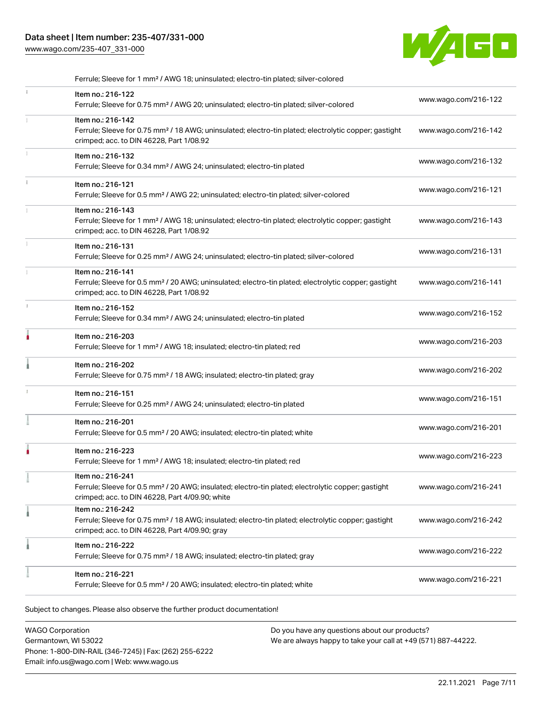## Data sheet | Item number: 235-407/331-000

[www.wago.com/235-407\\_331-000](http://www.wago.com/235-407_331-000)



| Ferrule; Sleeve for 1 mm <sup>2</sup> / AWG 18; uninsulated; electro-tin plated; silver-colored                                                                                        |                      |
|----------------------------------------------------------------------------------------------------------------------------------------------------------------------------------------|----------------------|
| Item no.: 216-122<br>Ferrule; Sleeve for 0.75 mm <sup>2</sup> / AWG 20; uninsulated; electro-tin plated; silver-colored                                                                | www.wago.com/216-122 |
| Item no.: 216-142<br>Ferrule; Sleeve for 0.75 mm <sup>2</sup> / 18 AWG; uninsulated; electro-tin plated; electrolytic copper; gastight<br>crimped; acc. to DIN 46228, Part 1/08.92     | www.wago.com/216-142 |
| Item no.: 216-132<br>Ferrule; Sleeve for 0.34 mm <sup>2</sup> / AWG 24; uninsulated; electro-tin plated                                                                                | www.wago.com/216-132 |
| Item no.: 216-121<br>Ferrule; Sleeve for 0.5 mm <sup>2</sup> / AWG 22; uninsulated; electro-tin plated; silver-colored                                                                 | www.wago.com/216-121 |
| Item no.: 216-143<br>Ferrule; Sleeve for 1 mm <sup>2</sup> / AWG 18; uninsulated; electro-tin plated; electrolytic copper; gastight<br>crimped; acc. to DIN 46228, Part 1/08.92        | www.wago.com/216-143 |
| Item no.: 216-131<br>Ferrule; Sleeve for 0.25 mm <sup>2</sup> / AWG 24; uninsulated; electro-tin plated; silver-colored                                                                | www.wago.com/216-131 |
| Item no.: 216-141<br>Ferrule; Sleeve for 0.5 mm <sup>2</sup> / 20 AWG; uninsulated; electro-tin plated; electrolytic copper; gastight<br>crimped; acc. to DIN 46228, Part 1/08.92      | www.wago.com/216-141 |
| Item no.: 216-152<br>Ferrule; Sleeve for 0.34 mm <sup>2</sup> / AWG 24; uninsulated; electro-tin plated                                                                                | www.wago.com/216-152 |
| Item no.: 216-203<br>Ferrule; Sleeve for 1 mm <sup>2</sup> / AWG 18; insulated; electro-tin plated; red                                                                                | www.wago.com/216-203 |
| Item no.: 216-202<br>Ferrule; Sleeve for 0.75 mm <sup>2</sup> / 18 AWG; insulated; electro-tin plated; gray                                                                            | www.wago.com/216-202 |
| Item no.: 216-151<br>Ferrule; Sleeve for 0.25 mm <sup>2</sup> / AWG 24; uninsulated; electro-tin plated                                                                                | www.wago.com/216-151 |
| Item no.: 216-201<br>Ferrule; Sleeve for 0.5 mm <sup>2</sup> / 20 AWG; insulated; electro-tin plated; white                                                                            | www.wago.com/216-201 |
| Item no.: 216-223<br>Ferrule; Sleeve for 1 mm <sup>2</sup> / AWG 18; insulated; electro-tin plated; red                                                                                | www.wago.com/216-223 |
| ltem no.: 216-241<br>Ferrule; Sleeve for 0.5 mm <sup>2</sup> / 20 AWG; insulated; electro-tin plated; electrolytic copper; gastight<br>crimped; acc. to DIN 46228, Part 4/09.90; white | www.wago.com/216-241 |
| Item no.: 216-242<br>Ferrule; Sleeve for 0.75 mm <sup>2</sup> / 18 AWG; insulated; electro-tin plated; electrolytic copper; gastight<br>crimped; acc. to DIN 46228, Part 4/09.90; gray | www.wago.com/216-242 |
| Item no.: 216-222<br>Ferrule; Sleeve for 0.75 mm <sup>2</sup> / 18 AWG; insulated; electro-tin plated; gray                                                                            | www.wago.com/216-222 |
| Item no.: 216-221<br>Ferrule; Sleeve for 0.5 mm <sup>2</sup> / 20 AWG; insulated; electro-tin plated; white                                                                            | www.wago.com/216-221 |

Subject to changes. Please also observe the further product documentation!

WAGO Corporation Germantown, WI 53022 Phone: 1-800-DIN-RAIL (346-7245) | Fax: (262) 255-6222 Email: info.us@wago.com | Web: www.wago.us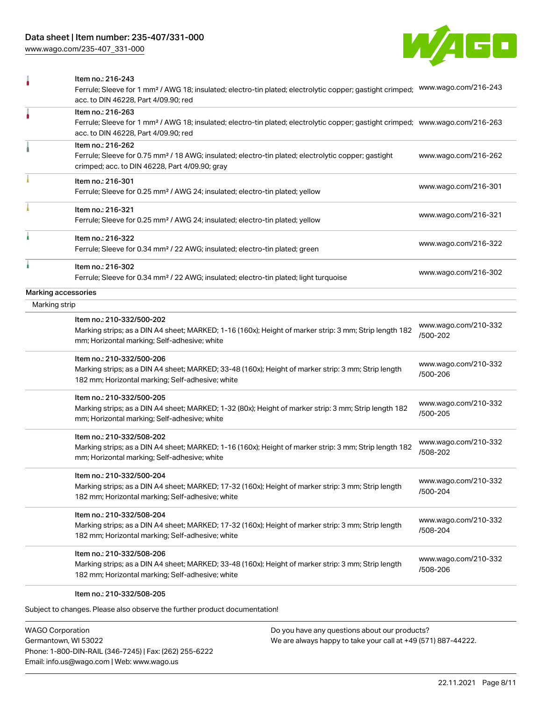[www.wago.com/235-407\\_331-000](http://www.wago.com/235-407_331-000)



|                     | Item no.: 216-243<br>Ferrule; Sleeve for 1 mm <sup>2</sup> / AWG 18; insulated; electro-tin plated; electrolytic copper; gastight crimped;<br>acc. to DIN 46228, Part 4/09.90; red                      | www.wago.com/216-243             |
|---------------------|---------------------------------------------------------------------------------------------------------------------------------------------------------------------------------------------------------|----------------------------------|
|                     | Item no.: 216-263<br>Ferrule; Sleeve for 1 mm <sup>2</sup> / AWG 18; insulated; electro-tin plated; electrolytic copper; gastight crimped; www.wago.com/216-263<br>acc. to DIN 46228, Part 4/09.90; red |                                  |
|                     | Item no.: 216-262<br>Ferrule; Sleeve for 0.75 mm <sup>2</sup> / 18 AWG; insulated; electro-tin plated; electrolytic copper; gastight<br>crimped; acc. to DIN 46228, Part 4/09.90; gray                  | www.wago.com/216-262             |
|                     | Item no.: 216-301<br>Ferrule; Sleeve for 0.25 mm <sup>2</sup> / AWG 24; insulated; electro-tin plated; yellow                                                                                           | www.wago.com/216-301             |
|                     | Item no.: 216-321<br>Ferrule; Sleeve for 0.25 mm <sup>2</sup> / AWG 24; insulated; electro-tin plated; yellow                                                                                           | www.wago.com/216-321             |
|                     | Item no.: 216-322<br>Ferrule; Sleeve for 0.34 mm <sup>2</sup> / 22 AWG; insulated; electro-tin plated; green                                                                                            | www.wago.com/216-322             |
|                     | Item no.: 216-302<br>Ferrule; Sleeve for 0.34 mm <sup>2</sup> / 22 AWG; insulated; electro-tin plated; light turquoise                                                                                  | www.wago.com/216-302             |
| Marking accessories |                                                                                                                                                                                                         |                                  |
| Marking strip       |                                                                                                                                                                                                         |                                  |
|                     | Item no.: 210-332/500-202<br>Marking strips; as a DIN A4 sheet; MARKED; 1-16 (160x); Height of marker strip: 3 mm; Strip length 182<br>mm; Horizontal marking; Self-adhesive; white                     | www.wago.com/210-332<br>/500-202 |
|                     | Item no.: 210-332/500-206<br>Marking strips; as a DIN A4 sheet; MARKED; 33-48 (160x); Height of marker strip: 3 mm; Strip length<br>182 mm; Horizontal marking; Self-adhesive; white                    | www.wago.com/210-332<br>/500-206 |
|                     | Item no.: 210-332/500-205<br>Marking strips; as a DIN A4 sheet; MARKED; 1-32 (80x); Height of marker strip: 3 mm; Strip length 182<br>mm; Horizontal marking; Self-adhesive; white                      | www.wago.com/210-332<br>/500-205 |
|                     | Item no.: 210-332/508-202<br>Marking strips; as a DIN A4 sheet; MARKED; 1-16 (160x); Height of marker strip: 3 mm; Strip length 182<br>mm; Horizontal marking; Self-adhesive; white                     | www.wago.com/210-332<br>/508-202 |
|                     | Item no.: 210-332/500-204<br>Marking strips; as a DIN A4 sheet; MARKED; 17-32 (160x); Height of marker strip: 3 mm; Strip length<br>182 mm; Horizontal marking; Self-adhesive; white                    | www.wago.com/210-332<br>/500-204 |
|                     | Item no.: 210-332/508-204<br>Marking strips; as a DIN A4 sheet; MARKED; 17-32 (160x); Height of marker strip: 3 mm; Strip length<br>182 mm; Horizontal marking; Self-adhesive; white                    | www.wago.com/210-332<br>/508-204 |
|                     | Item no.: 210-332/508-206<br>Marking strips; as a DIN A4 sheet; MARKED; 33-48 (160x); Height of marker strip: 3 mm; Strip length<br>182 mm; Horizontal marking; Self-adhesive; white                    | www.wago.com/210-332<br>/508-206 |
|                     | Item no.: 210-332/508-205                                                                                                                                                                               |                                  |

Subject to changes. Please also observe the further product documentation!

WAGO Corporation Germantown, WI 53022 Phone: 1-800-DIN-RAIL (346-7245) | Fax: (262) 255-6222 Email: info.us@wago.com | Web: www.wago.us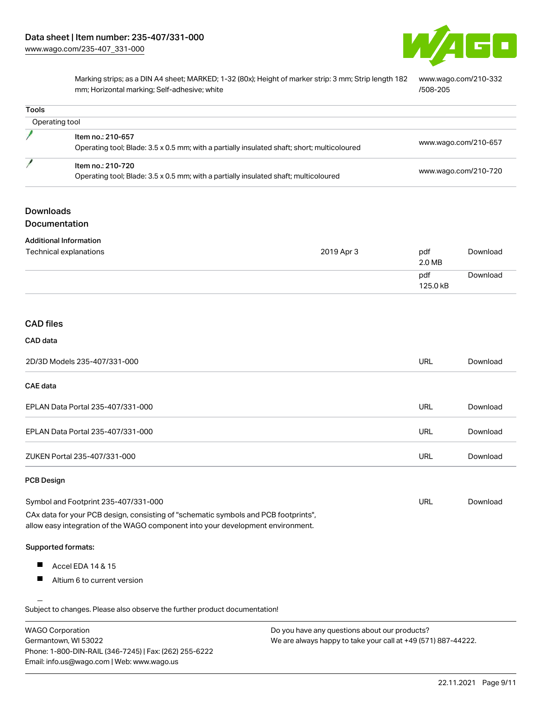

Marking strips; as a DIN A4 sheet; MARKED; 1-32 (80x); Height of marker strip: 3 mm; Strip length 182 mm; Horizontal marking; Self-adhesive; white [www.wago.com/210-332](http://www.wago.com/210-332/508-205) [/508-205](http://www.wago.com/210-332/508-205)

| Operating tool<br>Item no.: 210-657<br>Operating tool; Blade: 3.5 x 0.5 mm; with a partially insulated shaft; short; multicoloured<br>Item no.: 210-720<br>Operating tool; Blade: 3.5 x 0.5 mm; with a partially insulated shaft; multicoloured<br><b>Downloads</b><br>Documentation<br><b>Additional Information</b><br>Technical explanations<br>2019 Apr 3<br><b>CAD files</b><br>CAD data |                 | www.wago.com/210-657 |
|-----------------------------------------------------------------------------------------------------------------------------------------------------------------------------------------------------------------------------------------------------------------------------------------------------------------------------------------------------------------------------------------------|-----------------|----------------------|
|                                                                                                                                                                                                                                                                                                                                                                                               |                 |                      |
|                                                                                                                                                                                                                                                                                                                                                                                               |                 |                      |
|                                                                                                                                                                                                                                                                                                                                                                                               |                 | www.wago.com/210-720 |
|                                                                                                                                                                                                                                                                                                                                                                                               |                 |                      |
|                                                                                                                                                                                                                                                                                                                                                                                               |                 |                      |
|                                                                                                                                                                                                                                                                                                                                                                                               |                 |                      |
|                                                                                                                                                                                                                                                                                                                                                                                               | pdf<br>2.0 MB   | Download             |
|                                                                                                                                                                                                                                                                                                                                                                                               | pdf<br>125.0 kB | Download             |
|                                                                                                                                                                                                                                                                                                                                                                                               |                 |                      |
|                                                                                                                                                                                                                                                                                                                                                                                               |                 |                      |
|                                                                                                                                                                                                                                                                                                                                                                                               |                 |                      |
| 2D/3D Models 235-407/331-000                                                                                                                                                                                                                                                                                                                                                                  | URL             | Download             |
| <b>CAE</b> data                                                                                                                                                                                                                                                                                                                                                                               |                 |                      |
| EPLAN Data Portal 235-407/331-000                                                                                                                                                                                                                                                                                                                                                             | <b>URL</b>      | Download             |
| EPLAN Data Portal 235-407/331-000                                                                                                                                                                                                                                                                                                                                                             | <b>URL</b>      | Download             |
| ZUKEN Portal 235-407/331-000                                                                                                                                                                                                                                                                                                                                                                  | <b>URL</b>      | Download             |
| <b>PCB Design</b>                                                                                                                                                                                                                                                                                                                                                                             |                 |                      |
| Symbol and Footprint 235-407/331-000                                                                                                                                                                                                                                                                                                                                                          | <b>URL</b>      | Download             |
| CAx data for your PCB design, consisting of "schematic symbols and PCB footprints",<br>allow easy integration of the WAGO component into your development environment.                                                                                                                                                                                                                        |                 |                      |
| Supported formats:                                                                                                                                                                                                                                                                                                                                                                            |                 |                      |
| $\blacksquare$<br>Accel EDA 14 & 15                                                                                                                                                                                                                                                                                                                                                           |                 |                      |
| Altium 6 to current version                                                                                                                                                                                                                                                                                                                                                                   |                 |                      |
| Subject to changes. Please also observe the further product documentation!                                                                                                                                                                                                                                                                                                                    |                 |                      |

| WAGO Corporation                                       |
|--------------------------------------------------------|
| Germantown. WI 53022                                   |
| Phone: 1-800-DIN-RAIL (346-7245)   Fax: (262) 255-6222 |
| Email: info.us@waqo.com   Web: www.waqo.us             |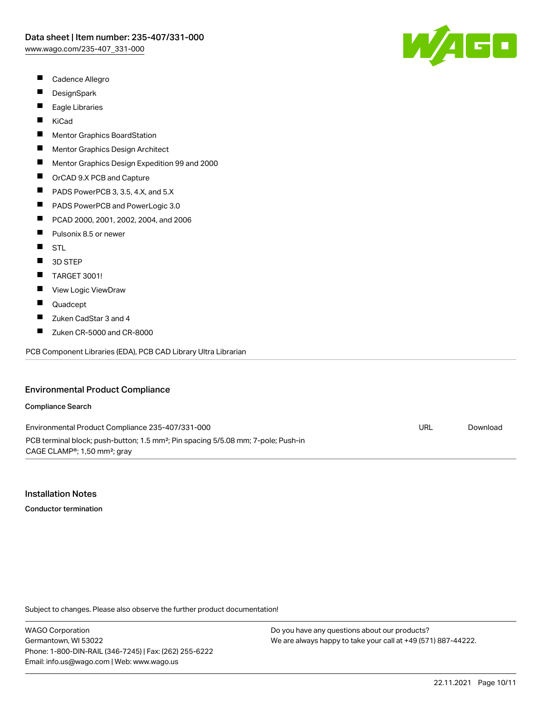- $\blacksquare$ Cadence Allegro
- $\blacksquare$ **DesignSpark**
- $\blacksquare$ Eagle Libraries
- $\blacksquare$ KiCad
- П Mentor Graphics BoardStation
- $\blacksquare$ Mentor Graphics Design Architect
- $\blacksquare$ Mentor Graphics Design Expedition 99 and 2000
- $\blacksquare$ OrCAD 9.X PCB and Capture
- $\blacksquare$ PADS PowerPCB 3, 3.5, 4.X, and 5.X
- $\blacksquare$ PADS PowerPCB and PowerLogic 3.0
- $\blacksquare$ PCAD 2000, 2001, 2002, 2004, and 2006
- $\blacksquare$ Pulsonix 8.5 or newer
- $\blacksquare$ STL
- $\blacksquare$ 3D STEP
- П TARGET 3001!
- П View Logic ViewDraw
- П Quadcept
- $\blacksquare$ Zuken CadStar 3 and 4
- $\blacksquare$ Zuken CR-5000 and CR-8000

PCB Component Libraries (EDA), PCB CAD Library Ultra Librarian

### Environmental Product Compliance

#### Compliance Search

Environmental Product Compliance 235-407/331-000 PCB terminal block; push-button; 1.5 mm²; Pin spacing 5/5.08 mm; 7-pole; Push-in CAGE CLAMP®; 1,50 mm²; gray URL [Download](https://www.wago.com/global/d/ComplianceLinkMediaContainer_235-407_331-000)

### Installation Notes

Conductor termination

Subject to changes. Please also observe the further product documentation!

WAGO Corporation Germantown, WI 53022 Phone: 1-800-DIN-RAIL (346-7245) | Fax: (262) 255-6222 Email: info.us@wago.com | Web: www.wago.us